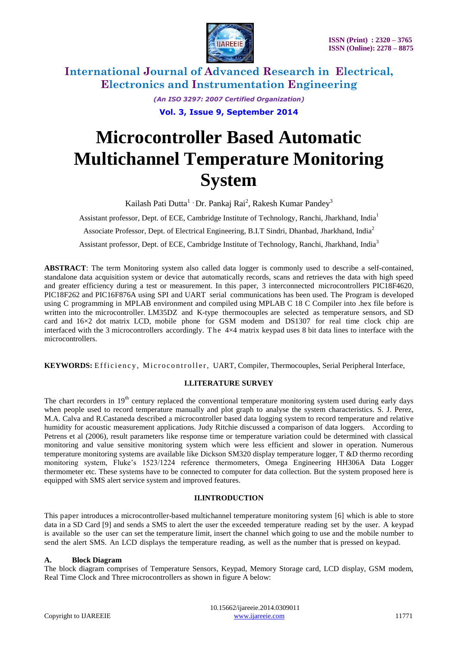

> *(An ISO 3297: 2007 Certified Organization)* **Vol. 3, Issue 9, September 2014**

# **Microcontroller Based Automatic Multichannel Temperature Monitoring System**

Kailash Pati Dutta<sup>1</sup> · Dr. Pankaj Rai<sup>2</sup>, Rakesh Kumar Pandey<sup>3</sup>

Assistant professor, Dept. of ECE, Cambridge Institute of Technology, Ranchi, Jharkhand, India<sup>1</sup> Associate Professor, Dept. of Electrical Engineering, B.I.T Sindri, Dhanbad, Jharkhand, India<sup>2</sup>

Assistant professor, Dept. of ECE, Cambridge Institute of Technology, Ranchi, Jharkhand, India<sup>3</sup>

**ABSTRACT**: The term Monitoring system also called data logger is commonly used to describe a self-contained, standalone data acquisition system or device that automatically records, scans and retrieves the data with high speed and greater efficiency during a test or measurement. In this paper, 3 interconnected microcontrollers PIC18F4620, PIC18F262 and PIC16F876A using SPI and UART serial communications has been used. The Program is developed using C programming in MPLAB environment and compiled using MPLAB C 18 C Compiler into .hex file before is written into the microcontroller. LM35DZ and K-type thermocouples are selected as temperature sensors, and SD card and 16×2 dot matrix LCD, mobile phone for GSM modem and DS1307 for real time clock chip are interfaced with the 3 microcontrollers accordingly. The  $4\times4$  matrix keypad uses 8 bit data lines to interface with the microcontrollers.

KEYWORDS: Efficiency, Microcontroller, UART, Compiler, Thermocouples, Serial Peripheral Interface,

### **I.LITERATURE SURVEY**

The chart recorders in 19<sup>th</sup> century replaced the conventional temperature monitoring system used during early days when people used to record temperature manually and plot graph to analyse the system characteristics. S. J. Perez, M.A. Calva and R.Castaneda described a microcontroller based data logging system to record temperature and relative humidity for acoustic measurement applications. Judy Ritchie discussed a comparison of data loggers. According to Petrens et al (2006), result parameters like response time or temperature variation could be determined with classical monitoring and value sensitive monitoring system which were less efficient and slower in operation. Numerous temperature monitoring systems are available like Dickson SM320 display temperature logger, T &D thermo recording monitoring system, Fluke's 1523/1224 reference thermometers, Omega Engineering HH306A Data Logger thermometer etc. These systems have to be connected to computer for data collection. But the system proposed here is equipped with SMS alert service system and improved features.

### **II.INTRODUCTION**

This paper introduces a microcontroller-based multichannel temperature monitoring system [6] which is able to store data in a SD Card [9] and sends a SMS to alert the user the exceeded temperature reading set by the user. A keypad is available so the user can set the temperature limit, insert the channel which going to use and the mobile number to send the alert SMS. An LCD displays the temperature reading, as well as the number that is pressed on keypad.

### **A. Block Diagram**

The block diagram comprises of Temperature Sensors, Keypad, Memory Storage card, LCD display, GSM modem, Real Time Clock and Three microcontrollers as shown in figure A below: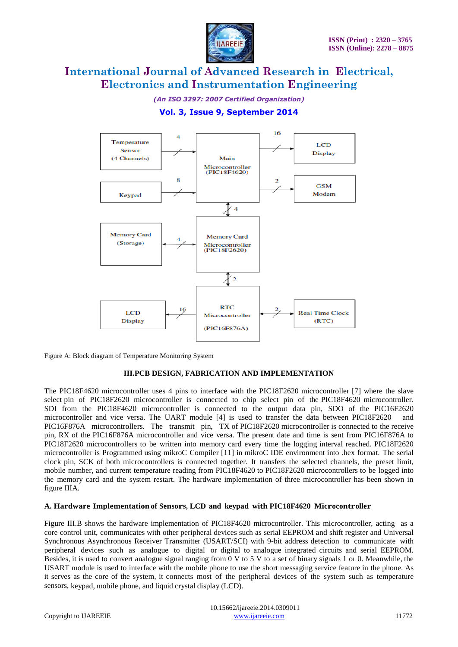

*(An ISO 3297: 2007 Certified Organization)*

### **Vol. 3, Issue 9, September 2014**



Figure A: Block diagram of Temperature Monitoring System

### **III.PCB DESIGN, FABRICATION AND IMPLEMENTATION**

The PIC18F4620 microcontroller uses 4 pins to interface with the PIC18F2620 microcontroller [7] where the slave select pin of PIC18F2620 microcontroller is connected to chip select pin of the PIC18F4620 microcontroller. SDI from the PIC18F4620 microcontroller is connected to the output data pin, SDO of the PIC16F2620 microcontroller and vice versa. The UART module [4] is used to transfer the data between PIC18F2620 and PIC16F876A microcontrollers. The transmit pin, TX of PIC18F2620 microcontroller is connected to the receive pin, RX of the PIC16F876A microcontroller and vice versa. The present date and time is sent from PIC16F876A to PIC18F2620 microcontrollers to be written into memory card every time the logging interval reached. PIC18F2620 microcontroller is Programmed using mikroC Compiler [11] in mikroC IDE environment into .hex format. The serial clock pin, SCK of both microcontrollers is connected together. It transfers the selected channels, the preset limit, mobile number, and current temperature reading from PIC18F4620 to PIC18F2620 microcontrollers to be logged into the memory card and the system restart. The hardware implementation of three microcontroller has been shown in figure IIIA.

### **A. Hardware Implementation of Sensors, LCD and keypad with PIC18F4620 Microcontroller**

Figure III.B shows the hardware implementation of PIC18F4620 microcontroller. This microcontroller, acting as a core control unit, communicates with other peripheral devices such as serial EEPROM and shift register and Universal Synchronous Asynchronous Receiver Transmitter (USART/SCI) with 9-bit address detection to communicate with peripheral devices such as analogue to digital or digital to analogue integrated circuits and serial EEPROM. Besides, it is used to convert analogue signal ranging from 0 V to 5 V to a set of binary signals 1 or 0. Meanwhile, the USART module is used to interface with the mobile phone to use the short messaging service feature in the phone. As it serves as the core of the system, it connects most of the peripheral devices of the system such as temperature sensors, keypad, mobile phone, and liquid crystal display (LCD).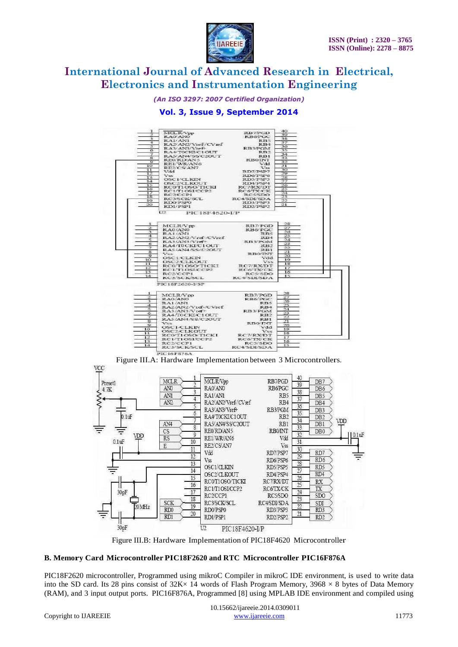

*(An ISO 3297: 2007 Certified Organization)*

### **Vol. 3, Issue 9, September 2014**



FIGURE III.A: Hardware Implementation between 3 Microcontrollers.



Figure III.B: Hardware Implementation of PIC18F4620 Microcontroller

### **B. Memory Card Microcontroller PIC18F2620 and RTC Microcontroller PIC16F876A**

PIC18F2620 microcontroller, Programmed using mikroC Compiler in mikroC IDE environment, is used to write data into the SD card. Its 28 pins consist of  $32K \times 14$  words of Flash Program Memory,  $3968 \times 8$  bytes of Data Memory (RAM), and 3 input output ports. PIC16F876A, Programmed [8] using MPLAB IDE environment and compiled using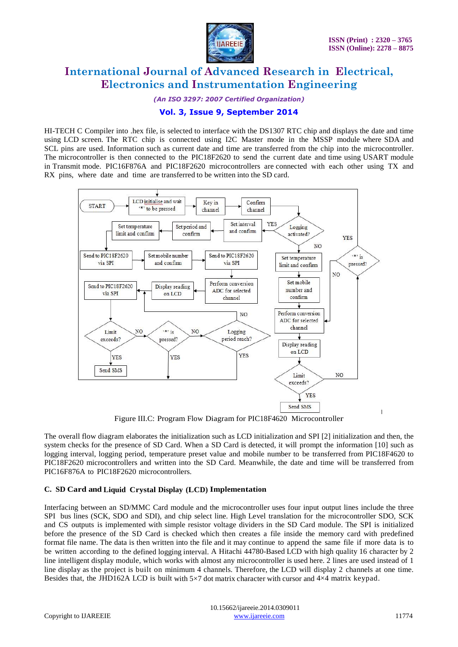

*(An ISO 3297: 2007 Certified Organization)*

### **Vol. 3, Issue 9, September 2014**

HI-TECH C Compiler into .hex file, is selected to interface with the DS1307 RTC chip and displays the date and time using LCD screen. The RTC chip is connected using I2C Master mode in the MSSP module where SDA and SCL pins are used. Information such as current date and time are transferred from the chip into the microcontroller. The microcontroller is then connected to the PIC18F2620 to send the current date and time using USART module in Transmit mode. PIC16F876A and PIC18F2620 microcontrollers are connected with each other using TX and RX pins, where date and time are transferred to be written into the SD card.



Figure III.C: Program Flow Diagram for PIC18F4620 Microcontroller

The overall flow diagram elaborates the initialization such as LCD initialization and SPI [2] initialization and then, the system checks for the presence of SD Card. When a SD Card is detected, it will prompt the information [10] such as logging interval, logging period, temperature preset value and mobile number to be transferred from PIC18F4620 to PIC18F2620 microcontrollers and written into the SD Card. Meanwhile, the date and time will be transferred from PIC16F876A to PIC18F2620 microcontrollers.

### **C. SD Card and Liquid Crystal Display (LCD) Implementation**

Interfacing between an SD/MMC Card module and the microcontroller uses four input output lines include the three SPI bus lines (SCK, SDO and SDI), and chip select line. High Level translation for the microcontroller SDO, SCK and CS outputs is implemented with simple resistor voltage dividers in the SD Card module. The SPI is initialized before the presence of the SD Card is checked which then creates a file inside the memory card with predefined format file name. The data is then written into the file and it may continue to append the same file if more data is to be written according to the defined logging interval. A Hitachi 44780-Based LCD with high quality 16 character by 2 line intelligent display module, which works with almost any microcontroller is used here. 2 lines are used instead of 1 line display as the project is built on minimum 4 channels. Therefore, the LCD will display 2 channels at one time. Besides that, the JHD162A LCD is built with  $5\times7$  dot matrix character with cursor and  $4\times4$  matrix keypad.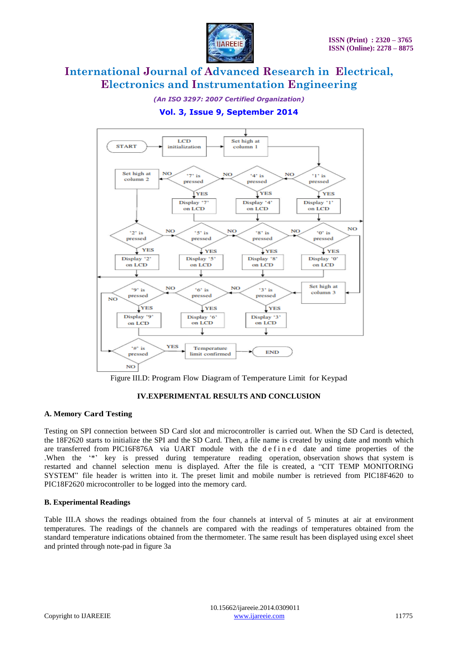

*(An ISO 3297: 2007 Certified Organization)*

### **Vol. 3, Issue 9, September 2014**



Figure III.D: Program Flow Diagram of Temperature Limit for Keypad

### **IV.EXPERIMENTAL RESULTS AND CONCLUSION**

### **A. Memory Card Testing**

Testing on SPI connection between SD Card slot and microcontroller is carried out. When the SD Card is detected, the 18F2620 starts to initialize the SPI and the SD Card. Then, a file name is created by using date and month which are transferred from PIC16F876A via UART module with the defined date and time properties of the .When the "\*" key is pressed during temperature reading operation, observation shows that system is restarted and channel selection menu is displayed. After the file is created, a "CIT TEMP MONITORING SYSTEM" file header is written into it. The preset limit and mobile number is retrieved from PIC18F4620 to PIC18F2620 microcontroller to be logged into the memory card.

### **B. Experimental Readings**

Table III.A shows the readings obtained from the four channels at interval of 5 minutes at air at environment temperatures. The readings of the channels are compared with the readings of temperatures obtained from the standard temperature indications obtained from the thermometer. The same result has been displayed using excel sheet and printed through note-pad in figure 3a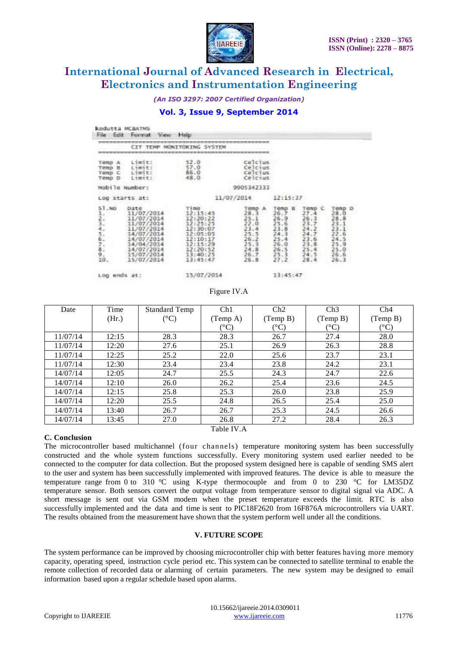

*(An ISO 3297: 2007 Certified Organization)*

### **Vol. 3, Issue 9, September 2014**

|                                                                                                                   | MONITORING SYSTEM<br>TEMP<br><b>CTT</b>                                                                                                          |                                                                                                                              |                                                                                                   |                                                                                           |                                                                                                      |                                                                                                   |
|-------------------------------------------------------------------------------------------------------------------|--------------------------------------------------------------------------------------------------------------------------------------------------|------------------------------------------------------------------------------------------------------------------------------|---------------------------------------------------------------------------------------------------|-------------------------------------------------------------------------------------------|------------------------------------------------------------------------------------------------------|---------------------------------------------------------------------------------------------------|
| TOMD A<br>Temp B<br>Tomp C<br>Temp D                                                                              | Limit:<br>Limit:<br>Limit:<br>Limit:                                                                                                             | 52.0<br>57.0<br>86.0<br>$-48.0$                                                                                              | <b>Colcius</b><br>Celcius<br>Celcius<br>Celcius                                                   |                                                                                           |                                                                                                      |                                                                                                   |
|                                                                                                                   | Mobile Number:                                                                                                                                   |                                                                                                                              | 9905342333                                                                                        |                                                                                           |                                                                                                      |                                                                                                   |
| Log starts at:                                                                                                    |                                                                                                                                                  | 11/07/2014                                                                                                                   |                                                                                                   | 12:15:37                                                                                  |                                                                                                      |                                                                                                   |
| <b>ST.NO</b><br>$\frac{1}{2}$ , $\frac{2}{3}$ , $\frac{3}{4}$ , $\frac{4}{5}$ , $\frac{5}{10}$ , $\frac{7}{10}$ , | Date<br>11/07/2014<br>11/07/2014<br>11/07/2014<br>11/07/2014<br>14/07/2014<br>14/07/2014<br>14/04/2014<br>14/07/2014<br>15/07/2014<br>15/07/2014 | Time<br>12:15:45<br>12:20:22<br>12:25:25<br>12:30:07<br>12:05:05<br>12:10:17<br>12:15:29<br>12:20:52<br>13:40:25<br>13:45:47 | $70mP$ A<br>$28.3$<br>25.1<br>$\frac{22.0}{23.4}$<br>25.5<br>26.2<br>25.3<br>24.8<br>26.7<br>26.8 | Temp<br>B<br>26.7<br>26.9<br>25.6<br>23.8<br>24.3<br>25.4<br>26.0<br>26.5<br>25.3<br>27.2 | Temp C<br>27.4<br>$\frac{26.3}{23.7}$<br>24.2<br>24.7<br>23.6<br>23.8<br>$\frac{25.4}{24.5}$<br>28.4 | Temp D<br>28.0<br>28.8<br>$\frac{23.1}{23.1}$<br>22.6<br>24.5<br>25.9<br>$^{25.0}_{26.6}$<br>26.3 |
| Log ends at:                                                                                                      |                                                                                                                                                  | 15/07/2014                                                                                                                   |                                                                                                   | 13:45:47                                                                                  |                                                                                                      |                                                                                                   |

Log ends at:

15/07/2014

Figure IV.A

| Date       | Time  | <b>Standard Temp</b> | Ch1             | Ch2                    | Ch3                    | Ch4                  |  |  |  |  |
|------------|-------|----------------------|-----------------|------------------------|------------------------|----------------------|--|--|--|--|
|            | (Hr.) | $({}^{\circ}C)$      | (Temp A)        | (Temp B)               | (Temp B)               | (Temp B)             |  |  |  |  |
|            |       |                      | $\rm ^{\circ}C$ | $({}^\circ\mathrm{C})$ | $({}^\circ\mathrm{C})$ | $(^\circ\mathrm{C})$ |  |  |  |  |
| 11/07/14   | 12:15 | 28.3                 | 28.3            | 26.7                   | 27.4                   | 28.0                 |  |  |  |  |
| 11/07/14   | 12:20 | 27.6                 | 25.1            | 26.9                   | 26.3                   | 28.8                 |  |  |  |  |
| 11/07/14   | 12:25 | 25.2                 | 22.0            | 25.6                   | 23.7                   | 23.1                 |  |  |  |  |
| 11/07/14   | 12:30 | 23.4                 | 23.4            | 23.8                   | 24.2                   | 23.1                 |  |  |  |  |
| 14/07/14   | 12:05 | 24.7                 | 25.5            | 24.3                   | 24.7                   | 22.6                 |  |  |  |  |
| 14/07/14   | 12:10 | 26.0                 | 26.2            | 25.4                   | 23.6                   | 24.5                 |  |  |  |  |
| 14/07/14   | 12:15 | 25.8                 | 25.3            | 26.0                   | 23.8                   | 25.9                 |  |  |  |  |
| 14/07/14   | 12:20 | 25.5                 | 24.8            | 26.5                   | 25.4                   | 25.0                 |  |  |  |  |
| 14/07/14   | 13:40 | 26.7                 | 26.7            | 25.3                   | 24.5                   | 26.6                 |  |  |  |  |
| 14/07/14   | 13:45 | 27.0                 | 26.8            | 27.2                   | 28.4                   | 26.3                 |  |  |  |  |
| Table IV.A |       |                      |                 |                        |                        |                      |  |  |  |  |

### **C. Conclusion**

The microcontroller based multichannel (four channels) temperature monitoring system has been successfully constructed and the whole system functions successfully. Every monitoring system used earlier needed to be connected to the computer for data collection. But the proposed system designed here is capable of sending SMS alert to the user and system has been successfully implemented with improved features. The device is able to measure the temperature range from 0 to 310 °C using K-type thermocouple and from 0 to 230 °C for LM35DZ temperature sensor. Both sensors convert the output voltage from temperature sensor to digital signal via ADC. A short message is sent out via GSM modem when the preset temperature exceeds the limit. RTC is also successfully implemented and the data and time is sent to PIC18F2620 from 16F876A microcontrollers via UART. The results obtained from the measurement have shown that the system perform well under all the conditions.

### **V. FUTURE SCOPE**

The system performance can be improved by choosing microcontroller chip with better features having more memory capacity, operating speed, instruction cycle period etc. This system can be connected to satellite terminal to enable the remote collection of recorded data or alarming of certain parameters. The new system may be designed to email information based upon a regular schedule based upon alarms.